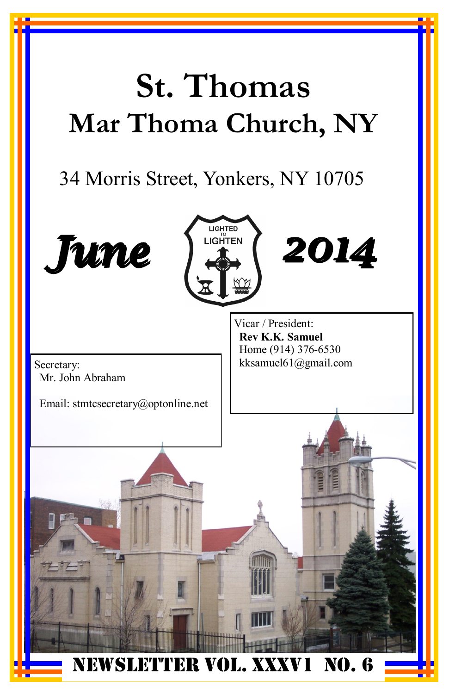# **St. Thomas Mar Thoma Church, NY**

### 34 Morris Street, Yonkers, NY 10705

LIGHTED **LIGHTEN** 





Email: stmtcsecretary@optonline.net

Vicar / President: **Rev K.K. Samuel** Home (914) 376-6530 Secretary: kksamuel61@gmail.com

*2014*

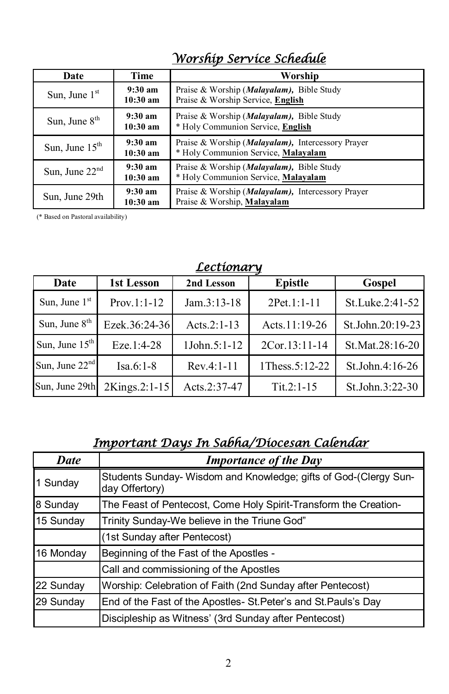| Date             | Time                                     | Worship                                                                                           |
|------------------|------------------------------------------|---------------------------------------------------------------------------------------------------|
| Sun, June $1st$  | $9:30 \text{ am}$<br>$10:30 \text{ am}$  | Praise & Worship ( <i>Malayalam</i> ), Bible Study<br>Praise & Worship Service, English           |
| Sun, June $8th$  | $9:30~\mathrm{am}$<br>$10:30 \text{ am}$ | Praise & Worship ( <i>Malayalam</i> ), Bible Study<br>* Holy Communion Service, English           |
| Sun, June $15th$ | $9:30 \text{ am}$<br>$10:30 \text{ am}$  | Praise & Worship ( <i>Malayalam</i> ), Intercessory Prayer<br>* Holy Communion Service, Malayalam |
| Sun, June $22nd$ | $9:30~\mathrm{am}$<br>$10:30 \text{ am}$ | Praise & Worship (Malayalam), Bible Study<br>* Holy Communion Service, Malayalam                  |
| Sun, June 29th   | $9:30 \text{ am}$<br>$10:30$ am          | Praise & Worship ( <i>Malayalam</i> ), Intercessory Prayer<br>Praise & Worship, Malayalam         |

### *Worship Service Schedule*

(\* Based on Pastoral availability)

| <u>Lecturius q</u> |               |                |                |                    |
|--------------------|---------------|----------------|----------------|--------------------|
| Date               | 1st Lesson    | 2nd Lesson     | <b>Epistle</b> | Gospel             |
| Sun, June $1st$    | $Prov.1:1-12$ | $Jam.3:13-18$  | 2Pet.1:1-11    | St.Luke.2:41-52    |
| Sun, June $8th$    | Ezek.36:24-36 | Acts. $2:1-13$ | Acts.11:19-26  | St.John.20:19-23   |
| Sun, June $15th$   | Eze.1:4-28    | 1John.5:1-12   | 2Cor.13:11-14  | St.Mat.28:16-20    |
| Sun, June $22nd$   | $Isa.6:1-8$   | $Rev.4:1-11$   | 1Thess.5:12-22 | St.John. $4:16-26$ |
| Sun, June 29th     | 2Kings.2:1-15 | Acts.2:37-47   | $Tit. 2: 1-15$ | St.John.3:22-30    |

#### *Lectionary*

### *Important Days In Sabha/Diocesan Calendar*

| <b>Date</b> | <b>Importance of the Day</b>                                                      |
|-------------|-----------------------------------------------------------------------------------|
| 1 Sunday    | Students Sunday-Wisdom and Knowledge; gifts of God-(Clergy Sun-<br>day Offertory) |
| 8 Sunday    | The Feast of Pentecost, Come Holy Spirit-Transform the Creation-                  |
| 15 Sunday   | Trinity Sunday-We believe in the Triune God"                                      |
|             | (1st Sunday after Pentecost)                                                      |
| 16 Monday   | Beginning of the Fast of the Apostles -                                           |
|             | Call and commissioning of the Apostles                                            |
| 22 Sunday   | Worship: Celebration of Faith (2nd Sunday after Pentecost)                        |
| 29 Sunday   | End of the Fast of the Apostles- St. Peter's and St. Pauls's Day                  |
|             | Discipleship as Witness' (3rd Sunday after Pentecost)                             |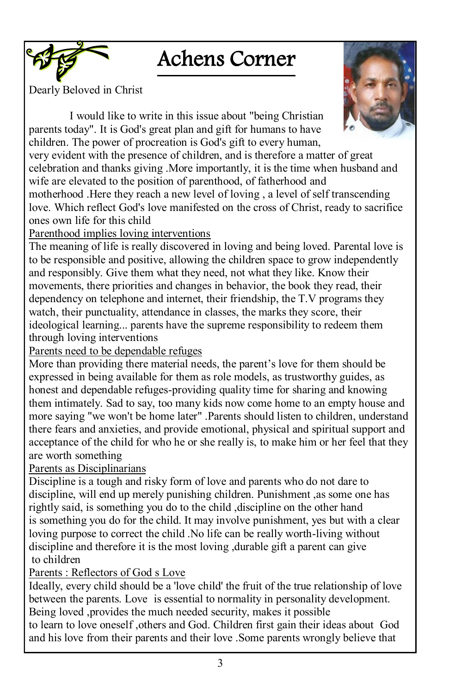### Achens Corner

Dearly Beloved in Christ



I would like to write in this issue about "being Christian parents today". It is God's great plan and gift for humans to have children. The power of procreation is God's gift to every human,

very evident with the presence of children, and is therefore a matter of great celebration and thanks giving .More importantly, it is the time when husband and wife are elevated to the position of parenthood, of fatherhood and motherhood .Here they reach a new level of loving , a level of self transcending love. Which reflect God's love manifested on the cross of Christ, ready to sacrifice

ones own life for this child

Parenthood implies loving interventions

The meaning of life is really discovered in loving and being loved. Parental love is to be responsible and positive, allowing the children space to grow independently and responsibly. Give them what they need, not what they like. Know their movements, there priorities and changes in behavior, the book they read, their dependency on telephone and internet, their friendship, the T.V programs they watch, their punctuality, attendance in classes, the marks they score, their ideological learning... parents have the supreme responsibility to redeem them through loving interventions

Parents need to be dependable refuges

More than providing there material needs, the parent"s love for them should be expressed in being available for them as role models, as trustworthy guides, as honest and dependable refuges-providing quality time for sharing and knowing them intimately. Sad to say, too many kids now come home to an empty house and more saying "we won't be home later" .Parents should listen to children, understand there fears and anxieties, and provide emotional, physical and spiritual support and acceptance of the child for who he or she really is, to make him or her feel that they are worth something

Parents as Disciplinarians

Discipline is a tough and risky form of love and parents who do not dare to discipline, will end up merely punishing children. Punishment ,as some one has rightly said, is something you do to the child ,discipline on the other hand is something you do for the child. It may involve punishment, yes but with a clear loving purpose to correct the child .No life can be really worth-living without discipline and therefore it is the most loving ,durable gift a parent can give to children

### Parents : Reflectors of God s Love

Ideally, every child should be a 'love child' the fruit of the true relationship of love between the parents. Love is essential to normality in personality development. Being loved ,provides the much needed security, makes it possible to learn to love oneself ,others and God. Children first gain their ideas about God and his love from their parents and their love .Some parents wrongly believe that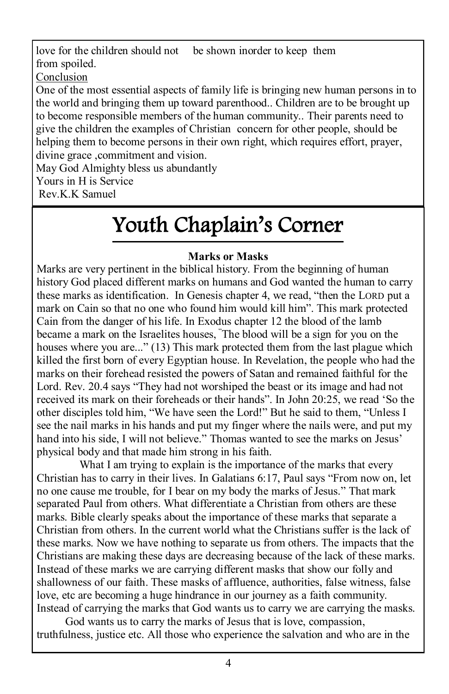love for the children should not be shown inorder to keep them from spoiled.

Conclusion

One of the most essential aspects of family life is bringing new human persons in to the world and bringing them up toward parenthood.. Children are to be brought up to become responsible members of the human community.. Their parents need to give the children the examples of Christian concern for other people, should be helping them to become persons in their own right, which requires effort, prayer, divine grace ,commitment and vision.

May God Almighty bless us abundantly

Yours in H is Service

Rev.K.K Samuel

## Youth Chaplain's Corner

### **Marks or Masks**

Marks are very pertinent in the biblical history. From the beginning of human history God placed different marks on humans and God wanted the human to carry these marks as identification. In Genesis chapter 4, we read, "then the LORD put a mark on Cain so that no one who found him would kill him". This mark protected Cain from the danger of his life. In Exodus chapter 12 the blood of the lamb became a mark on the Israelites houses, "The blood will be a sign for you on the houses where you are..." (13) This mark protected them from the last plague which killed the first born of every Egyptian house. In Revelation, the people who had the marks on their forehead resisted the powers of Satan and remained faithful for the Lord. Rev. 20.4 says "They had not worshiped the beast or its image and had not received its mark on their foreheads or their hands". In [John 20:25,](http://www.biblegateway.com/passage/?search=John+20:25&version=NIV) we read "So the other disciples told him, "We have seen the Lord!" But he said to them, "Unless I see the nail marks in his hands and put my finger where the nails were, and put my hand into his side, I will not believe." Thomas wanted to see the marks on Jesus' physical body and that made him strong in his faith.

What I am trying to explain is the importance of the marks that every Christian has to carry in their lives. In [Galatians 6:17,](http://www.biblegateway.com/passage/?search=Galatians+6:17&version=NIV) Paul says "From now on, let no one cause me trouble, for I bear on my body the marks of Jesus." That mark separated Paul from others. What differentiate a Christian from others are these marks. Bible clearly speaks about the importance of these marks that separate a Christian from others. In the current world what the Christians suffer is the lack of these marks. Now we have nothing to separate us from others. The impacts that the Christians are making these days are decreasing because of the lack of these marks. Instead of these marks we are carrying different masks that show our folly and shallowness of our faith. These masks of affluence, authorities, false witness, false love, etc are becoming a huge hindrance in our journey as a faith community. Instead of carrying the marks that God wants us to carry we are carrying the masks.

 God wants us to carry the marks of Jesus that is love, compassion, truthfulness, justice etc. All those who experience the salvation and who are in the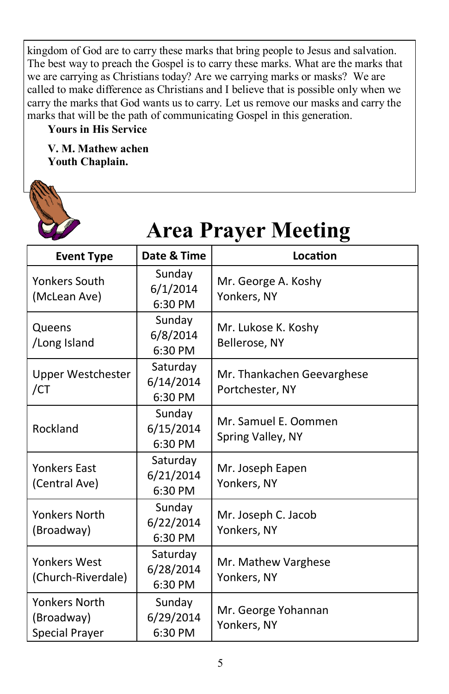kingdom of God are to carry these marks that bring people to Jesus and salvation. The best way to preach the Gospel is to carry these marks. What are the marks that we are carrying as Christians today? Are we carrying marks or masks? We are called to make difference as Christians and I believe that is possible only when we carry the marks that God wants us to carry. Let us remove our masks and carry the marks that will be the path of communicating Gospel in this generation.

#### **Yours in His Service**

**V. M. Mathew achen Youth Chaplain.** 

**ARCHIVE** 

| <b>Area Prayer Meeting</b>                                  |                                  |                                               |  |  |
|-------------------------------------------------------------|----------------------------------|-----------------------------------------------|--|--|
| <b>Event Type</b>                                           | Date & Time                      | Location                                      |  |  |
| <b>Yonkers South</b><br>(McLean Ave)                        | Sunday<br>6/1/2014<br>6:30 PM    | Mr. George A. Koshy<br>Yonkers, NY            |  |  |
| Queens<br>/Long Island                                      | Sunday<br>6/8/2014<br>6:30 PM    | Mr. Lukose K. Koshy<br>Bellerose, NY          |  |  |
| Upper Westchester<br>/CT                                    | Saturday<br>6/14/2014<br>6:30 PM | Mr. Thankachen Geevarghese<br>Portchester, NY |  |  |
| Rockland                                                    | Sunday<br>6/15/2014<br>6:30 PM   | Mr. Samuel E. Oommen<br>Spring Valley, NY     |  |  |
| <b>Yonkers East</b><br>(Central Ave)                        | Saturday<br>6/21/2014<br>6:30 PM | Mr. Joseph Eapen<br>Yonkers, NY               |  |  |
| <b>Yonkers North</b><br>(Broadway)                          | Sunday<br>6/22/2014<br>6:30 PM   | Mr. Joseph C. Jacob<br>Yonkers, NY            |  |  |
| <b>Yonkers West</b><br>(Church-Riverdale)                   | Saturday<br>6/28/2014<br>6:30 PM | Mr. Mathew Varghese<br>Yonkers, NY            |  |  |
| <b>Yonkers North</b><br>(Broadway)<br><b>Special Prayer</b> | Sunday<br>6/29/2014<br>6:30 PM   | Mr. George Yohannan<br>Yonkers, NY            |  |  |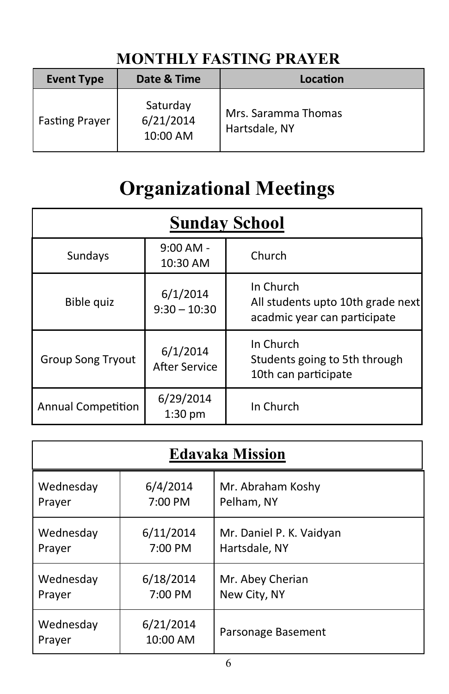### **MONTHLY FASTING PRAYER**

| <b>Event Type</b>     | Date & Time                       | Location                             |
|-----------------------|-----------------------------------|--------------------------------------|
| <b>Fasting Prayer</b> | Saturday<br>6/21/2014<br>10:00 AM | Mrs. Saramma Thomas<br>Hartsdale, NY |

### **Organizational Meetings**

| <b>Sunday School</b>      |                                  |                                                                                |  |
|---------------------------|----------------------------------|--------------------------------------------------------------------------------|--|
| Sundays                   | $9:00$ AM -<br>10:30 AM          | Church                                                                         |  |
| Bible quiz                | 6/1/2014<br>$9:30 - 10:30$       | In Church<br>All students upto 10th grade next<br>acadmic year can participate |  |
| <b>Group Song Tryout</b>  | 6/1/2014<br><b>After Service</b> | In Church<br>Students going to 5th through<br>10th can participate             |  |
| <b>Annual Competition</b> | 6/29/2014<br>1:30 pm             | In Church                                                                      |  |

| <b>Edavaka Mission</b> |                       |                          |  |
|------------------------|-----------------------|--------------------------|--|
| Wednesday              | 6/4/2014              | Mr. Abraham Koshy        |  |
| Prayer                 | 7:00 PM               | Pelham, NY               |  |
| Wednesday              | 6/11/2014             | Mr. Daniel P. K. Vaidyan |  |
| Prayer                 | 7:00 PM               | Hartsdale, NY            |  |
| Wednesday              | 6/18/2014             | Mr. Abey Cherian         |  |
| Prayer                 | 7:00 PM               | New City, NY             |  |
| Wednesday<br>Prayer    | 6/21/2014<br>10:00 AM | Parsonage Basement       |  |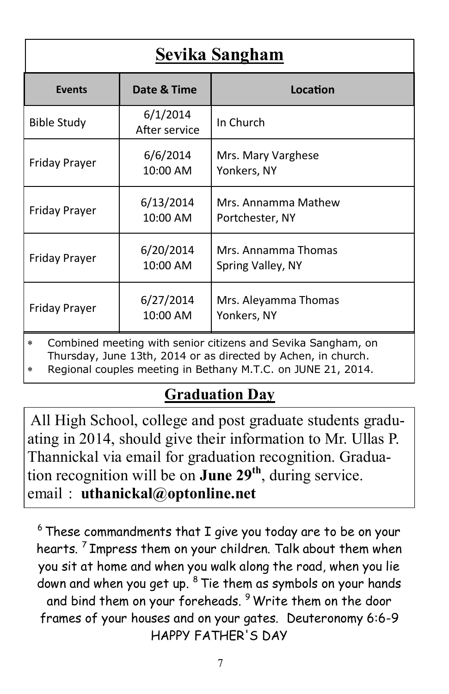| Sevika Sangham                                                                                                                           |                           |                                          |  |
|------------------------------------------------------------------------------------------------------------------------------------------|---------------------------|------------------------------------------|--|
| <b>Events</b>                                                                                                                            | Date & Time               | Location                                 |  |
| <b>Bible Study</b>                                                                                                                       | 6/1/2014<br>After service | In Church                                |  |
| Friday Prayer                                                                                                                            | 6/6/2014<br>10:00 AM      | Mrs. Mary Varghese<br>Yonkers, NY        |  |
| <b>Friday Prayer</b>                                                                                                                     | 6/13/2014<br>10:00 AM     | Mrs. Annamma Mathew<br>Portchester, NY   |  |
| <b>Friday Prayer</b>                                                                                                                     | 6/20/2014<br>10:00 AM     | Mrs. Annamma Thomas<br>Spring Valley, NY |  |
| 6/27/2014<br>Mrs. Aleyamma Thomas<br><b>Friday Prayer</b><br>10:00 AM<br>Yonkers, NY                                                     |                           |                                          |  |
| Combined meeting with senior citizens and Sevika Sangham, on<br>$\star$<br>Thursday, June 13th, 2014 or as directed by Achen, in church. |                           |                                          |  |

Regional couples meeting in Bethany M.T.C. on JUNE 21, 2014.

### **Graduation Day**

All High School, college and post graduate students graduating in 2014, should give their information to Mr. Ullas P. Thannickal via email for graduation recognition. Graduation recognition will be on **June 29th**, during service. email : **uthanickal@optonline.net** 

 $6$  These commandments that I give you today are to be on your hearts. <sup>7</sup> Impress them on your children. Talk about them when you sit at home and when you walk along the road, when you lie down and when you get up. <sup>8</sup> Tie them as symbols on your hands and bind them on your foreheads. <sup>9</sup> Write them on the door frames of your houses and on your gates. Deuteronomy 6:6-9 HAPPY FATHER'S DAY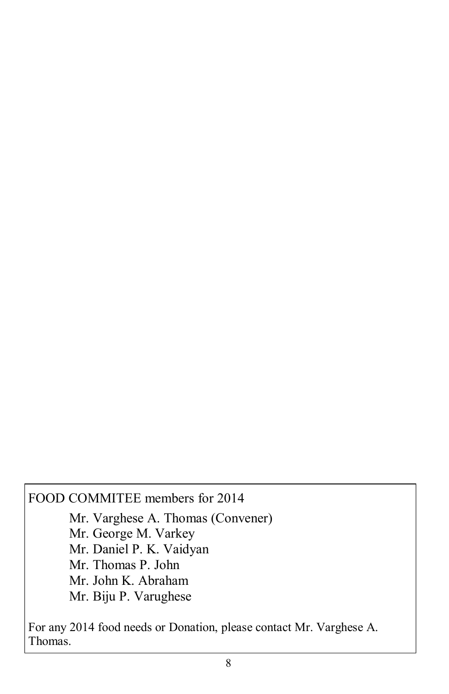### FOOD COMMITEE members for 2014

Mr. Varghese A. Thomas (Convener) Mr. George M. Varkey Mr. Daniel P. K. Vaidyan Mr. Thomas P. John Mr. John K. Abraham Mr. Biju P. Varughese

For any 2014 food needs or Donation, please contact Mr. Varghese A. Thomas.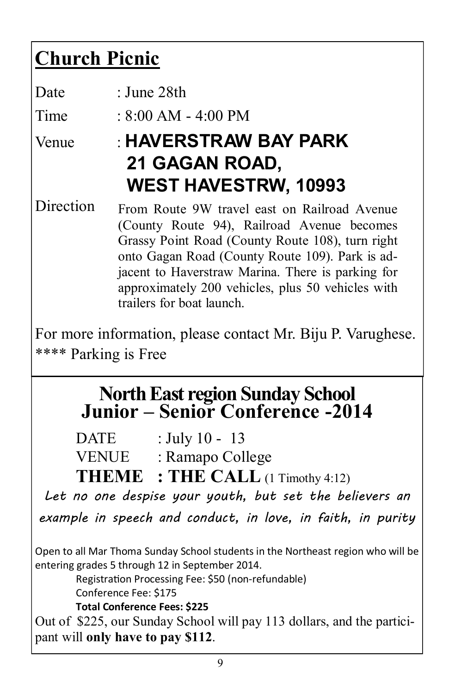### **Church Picnic**

| Date                 | : June 28th                                                                                                                                                                                                                                                                                                                              |
|----------------------|------------------------------------------------------------------------------------------------------------------------------------------------------------------------------------------------------------------------------------------------------------------------------------------------------------------------------------------|
| Time                 | : $8:00$ AM - $4:00$ PM                                                                                                                                                                                                                                                                                                                  |
| Venue                | <b>HAVERSTRAW BAY PARK</b><br>21 GAGAN ROAD,<br><b>WEST HAVESTRW, 10993</b>                                                                                                                                                                                                                                                              |
| Direction            | From Route 9W travel east on Railroad Avenue<br>(County Route 94), Railroad Avenue becomes<br>Grassy Point Road (County Route 108), turn right<br>onto Gagan Road (County Route 109). Park is ad-<br>jacent to Haverstraw Marina. There is parking for<br>approximately 200 vehicles, plus 50 vehicles with<br>trailers for boat launch. |
| **** Parking is Free | For more information, please contact Mr. Biju P. Varughese.                                                                                                                                                                                                                                                                              |
|                      | <b>North East region Sunday School<br/>Junior – Senior Conference -2014</b>                                                                                                                                                                                                                                                              |

|              | <b>THEME</b> : THE CALL $(1$ Timothy 4:12) |
|--------------|--------------------------------------------|
| <b>VENUE</b> | : Ramapo College                           |
| <b>DATE</b>  | : July 10 - 13                             |

*Let no one despise your youth, but set the believers an* 

*example in speech and conduct, in love, in faith, in purity*

Open to all Mar Thoma Sunday School students in the Northeast region who will be entering grades 5 through 12 in September 2014.

Registration Processing Fee: \$50 (non-refundable) Conference Fee: \$175

**Total Conference Fees: \$225** 

Out of \$225, our Sunday School will pay 113 dollars, and the participant will **only have to pay \$112**.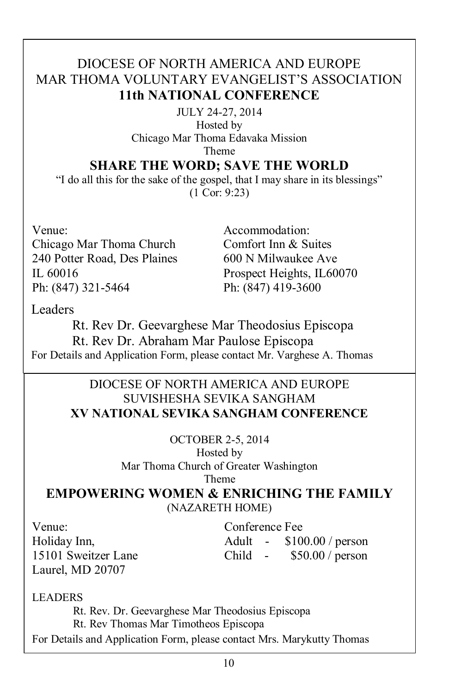### DIOCESE OF NORTH AMERICA AND EUROPE MAR THOMA VOLUNTARY EVANGELIST"S ASSOCIATION **11th NATIONAL CONFERENCE**

JULY 24-27, 2014 Hosted by Chicago Mar Thoma Edavaka Mission Theme

#### **SHARE THE WORD; SAVE THE WORLD**

"I do all this for the sake of the gospel, that I may share in its blessings" (1 Cor: 9:23)

Venue: Chicago Mar Thoma Church 240 Potter Road, Des Plaines IL 60016 Ph: (847) 321-5464

Accommodation: Comfort Inn & Suites 600 N Milwaukee Ave Prospect Heights, IL60070 Ph: (847) 419-3600

Leaders

Rt. Rev Dr. Geevarghese Mar Theodosius Episcopa Rt. Rev Dr. Abraham Mar Paulose Episcopa For Details and Application Form, please contact Mr. Varghese A. Thomas

#### DIOCESE OF NORTH AMERICA AND EUROPE SUVISHESHA SEVIKA SANGHAM **XV NATIONAL SEVIKA SANGHAM CONFERENCE**

OCTOBER 2-5, 2014 Hosted by Mar Thoma Church of Greater Washington Theme

**EMPOWERING WOMEN & ENRICHING THE FAMILY** (NAZARETH HOME)

Venue: Holiday Inn, 15101 Sweitzer Lane Laurel, MD 20707

Conference Fee Adult - \$100.00 / person Child - \$50.00 / person

LEADERS

Rt. Rev. Dr. Geevarghese Mar Theodosius Episcopa Rt. Rev Thomas Mar Timotheos Episcopa For Details and Application Form, please contact Mrs. Marykutty Thomas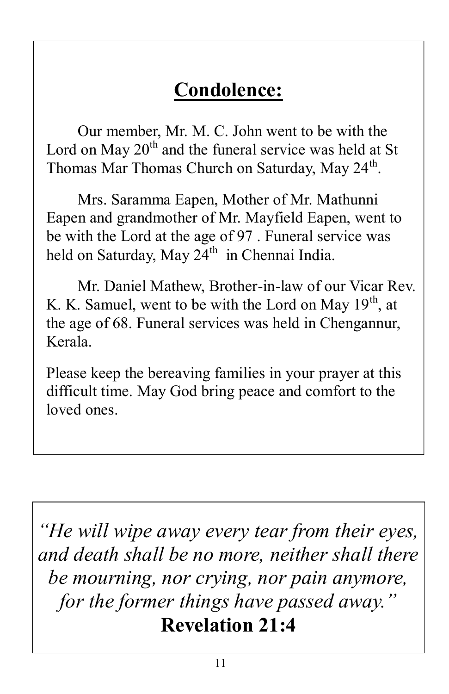### **Condolence:**

Our member, Mr. M. C. John went to be with the Lord on May  $20<sup>th</sup>$  and the funeral service was held at St Thomas Mar Thomas Church on Saturday, May 24<sup>th</sup>.

Mrs. Saramma Eapen, Mother of Mr. Mathunni Eapen and grandmother of Mr. Mayfield Eapen, went to be with the Lord at the age of 97 . Funeral service was held on Saturday, May 24<sup>th</sup> in Chennai India.

Mr. Daniel Mathew, Brother-in-law of our Vicar Rev. K. K. Samuel, went to be with the Lord on May  $19<sup>th</sup>$ , at the age of 68. Funeral services was held in Chengannur, Kerala.

Please keep the bereaving families in your prayer at this difficult time. May God bring peace and comfort to the loved ones.

*"He will wipe away every tear from their eyes, and death shall be no more, neither shall there be mourning, nor crying, nor pain anymore, for the former things have passed away."* **Revelation 21:4**